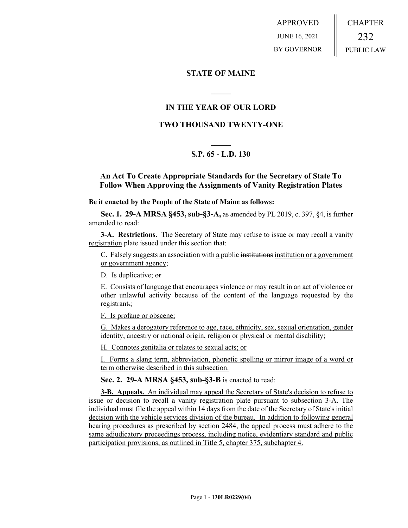APPROVED JUNE 16, 2021 BY GOVERNOR CHAPTER 232 PUBLIC LAW

### **STATE OF MAINE**

### **IN THE YEAR OF OUR LORD**

**\_\_\_\_\_**

### **TWO THOUSAND TWENTY-ONE**

# **\_\_\_\_\_ S.P. 65 - L.D. 130**

### **An Act To Create Appropriate Standards for the Secretary of State To Follow When Approving the Assignments of Vanity Registration Plates**

#### **Be it enacted by the People of the State of Maine as follows:**

**Sec. 1. 29-A MRSA §453, sub-§3-A,** as amended by PL 2019, c. 397, §4, is further amended to read:

**3-A. Restrictions.** The Secretary of State may refuse to issue or may recall a vanity registration plate issued under this section that:

C. Falsely suggests an association with a public institutions institution or a government or government agency;

D. Is duplicative; or

E. Consists of language that encourages violence or may result in an act of violence or other unlawful activity because of the content of the language requested by the registrant.;

F. Is profane or obscene;

G. Makes a derogatory reference to age, race, ethnicity, sex, sexual orientation, gender identity, ancestry or national origin, religion or physical or mental disability;

H. Connotes genitalia or relates to sexual acts; or

I. Forms a slang term, abbreviation, phonetic spelling or mirror image of a word or term otherwise described in this subsection.

**Sec. 2. 29-A MRSA §453, sub-§3-B** is enacted to read:

**3-B. Appeals.** An individual may appeal the Secretary of State's decision to refuse to issue or decision to recall a vanity registration plate pursuant to subsection 3-A. The individual must file the appeal within 14 days from the date of the Secretary of State's initial decision with the vehicle services division of the bureau. In addition to following general hearing procedures as prescribed by section 2484, the appeal process must adhere to the same adjudicatory proceedings process, including notice, evidentiary standard and public participation provisions, as outlined in Title 5, chapter 375, subchapter 4.